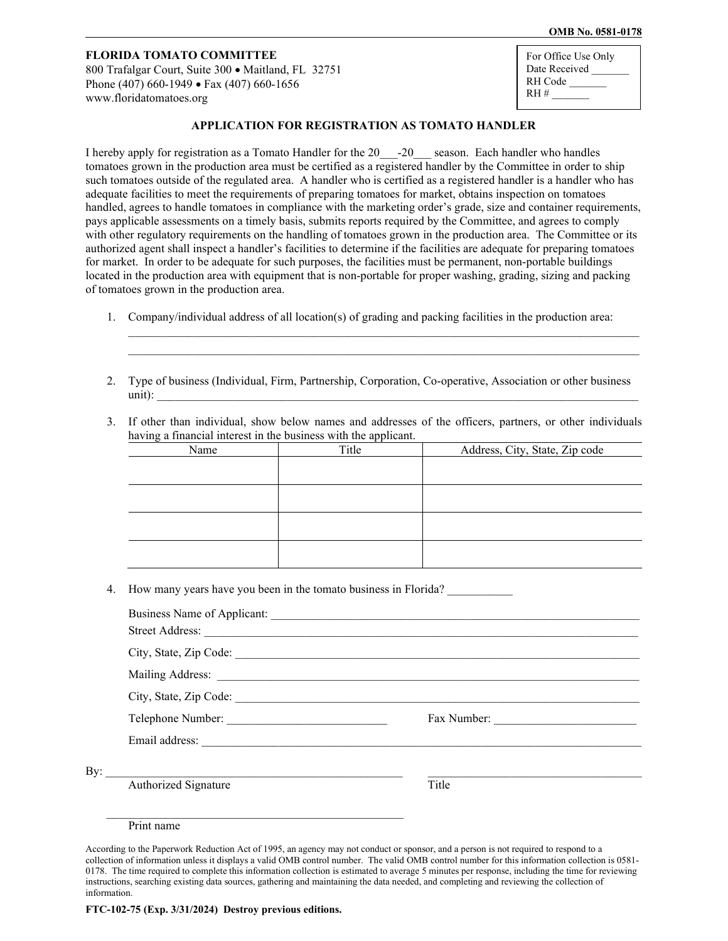### **OMB No. 0581-0178**

# **FLORIDA TOMATO COMMITTEE**

800 Trafalgar Court, Suite 300 • Maitland, FL 32751 Phone (407) 660-1949 • Fax (407) 660-1656 [www.floridatomatoes.org](http://www.floridatomatoes.org/)

| For Office Use Only |
|---------------------|
| Date Received       |
| RH Code             |
| $RH$ #              |
|                     |

### **APPLICATION FOR REGISTRATION AS TOMATO HANDLER**

I hereby apply for registration as a Tomato Handler for the 20<sup>--20</sup> season. Each handler who handles tomatoes grown in the production area must be certified as a registered handler by the Committee in order to ship such tomatoes outside of the regulated area. A handler who is certified as a registered handler is a handler who has adequate facilities to meet the requirements of preparing tomatoes for market, obtains inspection on tomatoes handled, agrees to handle tomatoes in compliance with the marketing order's grade, size and container requirements, pays applicable assessments on a timely basis, submits reports required by the Committee, and agrees to comply with other regulatory requirements on the handling of tomatoes grown in the production area. The Committee or its authorized agent shall inspect a handler's facilities to determine if the facilities are adequate for preparing tomatoes for market. In order to be adequate for such purposes, the facilities must be permanent, non-portable buildings located in the production area with equipment that is non-portable for proper washing, grading, sizing and packing of tomatoes grown in the production area.

- 1. Company/individual address of all location(s) of grading and packing facilities in the production area:
- 2. Type of business (Individual, Firm, Partnership, Corporation, Co-operative, Association or other business  $\text{unit}:$

 $\mathcal{L}_\mathcal{L} = \{ \mathcal{L}_\mathcal{L} = \{ \mathcal{L}_\mathcal{L} = \{ \mathcal{L}_\mathcal{L} = \{ \mathcal{L}_\mathcal{L} = \{ \mathcal{L}_\mathcal{L} = \{ \mathcal{L}_\mathcal{L} = \{ \mathcal{L}_\mathcal{L} = \{ \mathcal{L}_\mathcal{L} = \{ \mathcal{L}_\mathcal{L} = \{ \mathcal{L}_\mathcal{L} = \{ \mathcal{L}_\mathcal{L} = \{ \mathcal{L}_\mathcal{L} = \{ \mathcal{L}_\mathcal{L} = \{ \mathcal{L}_\mathcal{$  $\mathcal{L}_\mathcal{L} = \{ \mathcal{L}_\mathcal{L} = \{ \mathcal{L}_\mathcal{L} = \{ \mathcal{L}_\mathcal{L} = \{ \mathcal{L}_\mathcal{L} = \{ \mathcal{L}_\mathcal{L} = \{ \mathcal{L}_\mathcal{L} = \{ \mathcal{L}_\mathcal{L} = \{ \mathcal{L}_\mathcal{L} = \{ \mathcal{L}_\mathcal{L} = \{ \mathcal{L}_\mathcal{L} = \{ \mathcal{L}_\mathcal{L} = \{ \mathcal{L}_\mathcal{L} = \{ \mathcal{L}_\mathcal{L} = \{ \mathcal{L}_\mathcal{$ 

3. If other than individual, show below names and addresses of the officers, partners, or other individuals having a financial interest in the business with the applicant.

| Name | Title | Address, City, State, Zip code |
|------|-------|--------------------------------|
|      |       |                                |
|      |       |                                |
|      |       |                                |
|      |       |                                |
|      |       |                                |
|      |       |                                |
|      |       |                                |
|      |       |                                |

4. How many years have you been in the tomato business in Florida?

|                     | Street Address:      |             |  |
|---------------------|----------------------|-------------|--|
|                     |                      |             |  |
|                     |                      |             |  |
|                     |                      |             |  |
|                     |                      | Fax Number: |  |
|                     |                      |             |  |
| By: $\qquad \qquad$ |                      |             |  |
|                     | Authorized Signature | Title       |  |
|                     |                      |             |  |
|                     | Print name           |             |  |

According to the Paperwork Reduction Act of 1995, an agency may not conduct or sponsor, and a person is not required to respond to a collection of information unless it displays a valid OMB control number. The valid OMB control number for this information collection is 0581- 0178. The time required to complete this information collection is estimated to average 5 minutes per response, including the time for reviewing instructions, searching existing data sources, gathering and maintaining the data needed, and completing and reviewing the collection of information.

**FTC-102-75 (Exp. 3/31/2024) Destroy previous editions.**